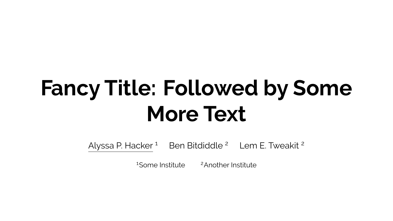# **Fancy Title: Followed by Some More Text**

Alyssa P. Hacker<sup>1</sup> Ben Bitdiddle<sup>2</sup> Lem E. Tweakit<sup>2</sup>

<sup>1</sup>Some Institute <sup>2</sup>Another Institute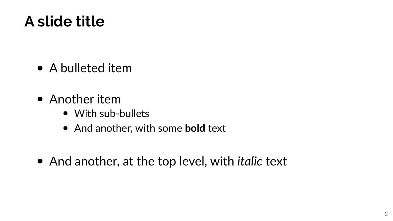### **A slide title**

- A bulleted item
- Another item
	- With sub-bullets
	- And another, with some **bold** text
- And another, at the top level, with *italic* text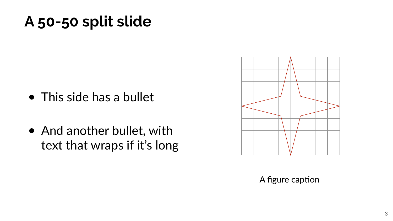### **A 50-50 split slide**

- This side has a bullet
- And another bullet, with text that wraps if it's long



A figure caption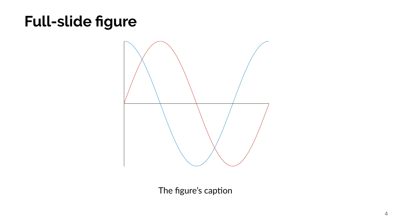# **Full-slide figure**



The figure's caption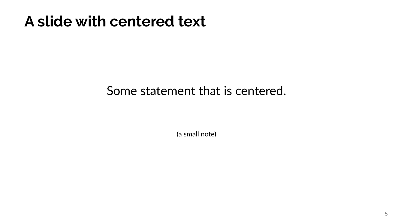### **A slide with centered text**

#### Some statement that is centered.

(a small note)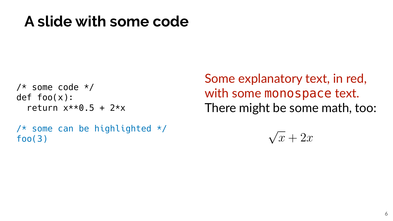### **A slide with some code**

```
/* some code */def foo(x):
return x**0.5 + 2*x
```

```
/* some can be highlighted */foo(3)
```
Some explanatory text, in red, with some monospace text. There might be some math, too:

> √  $x + 2x$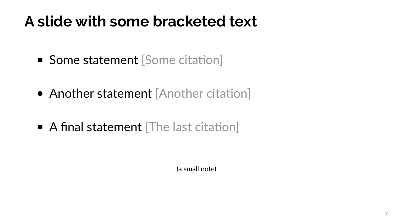### **A slide with some bracketed text**

- Some statement [Some citation]
- Another statement [Another citation]
- A final statement [The last citation]

(a small note)